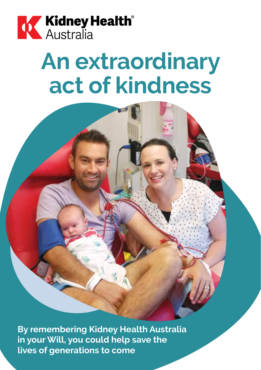

# **An extraordinary act of kindness**

**By remembering Kidney Health Australia in your Will, you could help save the lives of generations to come**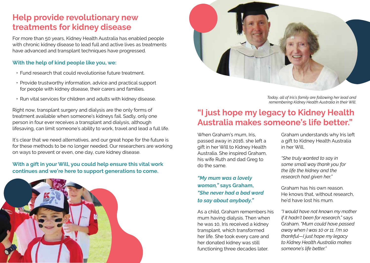### **Help provide revolutionary new treatments for kidney disease**

For more than 50 years, Kidney Health Australia has enabled people with chronic kidney disease to lead full and active lives as treatments have advanced and transplant techniques have progressed.

#### **With the help of kind people like you, we:**

- Fund research that could revolutionise future treatment.
- Provide trustworthy information, advice and practical support for people with kidney disease, their carers and families.
- Run vital services for children and adults with kidney disease.

Right now, transplant surgery and dialysis are the only forms of treatment available when someone's kidneys fail. Sadly, only one person in four ever receives a transplant and dialysis, although lifesaving, can limit someone's ability to work, travel and lead a full life.

It's clear that we need alternatives, and our great hope for the future is for these methods to be no longer needed. Our researchers are working on ways to prevent or even, one day, cure kidney disease.

#### **With a gift in your Will, you could help ensure this vital work continues and we're here to support generations to come.**





*Today, all of Iris's family are following her lead and remembering Kidney Health Australia in their Will.*

### **"I just hope my legacy to Kidney Health Australia makes someone's life better."**

When Graham's mum, Iris passed away in 2016, she left a gift in her Will to Kidney Health Australia. She inspired Graham, his wife Ruth and dad Greg to do the same.

*"My mum was a lovely woman,"* **says Graham,**  *"She never had a bad word to say about anybody."*

As a child, Graham remembers his mum having dialysis. Then when he was 10, Iris received a kidney transplant, which transformed her life. She took every care and her donated kidney was still functioning three decades later.

Graham understands why Iris left a gift to Kidney Health Australia in her Will.

*"She truly wanted to say in some small way thank you for the life the kidney and the research had given her."*

Graham has his own reason. He knows that, without research he'd have lost his mum.

*"I would have not known my mother if it hadn't been for research,"* says Graham. *"Mum could have passed away when I was 10 or 11. I'm so thankful—I just hope my legacy to Kidney Health Australia makes someone's life better."*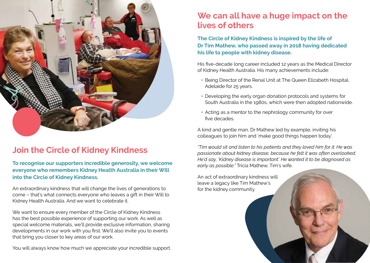

### **Join the Circle of Kidney Kindness**

**To recognise our supporters incredible generosity, we welcome everyone who remembers Kidney Health Australia in their Will into the Circle of Kidney Kindness.**

An extraordinary kindness that will change the lives of generations to come – that's what connects everyone who leaves a gift in their Will to Kidney Health Australia. And we want to celebrate it.

We want to ensure every member of the Circle of Kidney Kindness has the best possible experience of supporting our work. As well as special welcome materials, we'll provide exclusive information, sharing developments in our work with you first. We'll also invite you to events that bring you closer to key areas of our work.

You will always know how much we appreciate your incredible support.

### **We can all have a huge impact on the lives of others**

**The Circle of Kidney Kindness is inspired by the life of Dr Tim Mathew, who passed away in 2018 having dedicated his life to people with kidney disease.** 

His five-decade long career included 12 years as the Medical Director of Kidney Health Australia. His many achievements include:

- Being Director of the Renal Unit at The Queen Elizabeth Hospital, Adelaide for 25 years.
- Developing the early organ donation protocols and systems for South Australia in the 1980s, which were then adopted nationwide.
- Acting as a mentor to the nephrology community for over five decades.

A kind and gentle man, Dr Mathew led by example, inviting his colleagues to join him and 'make good things happen today'.

*"Tim would sit and listen to his patients and they loved him for it. He was passionate about kidney disease, because he felt it was often overlooked. He'd say, 'Kidney disease is important'. He wanted it to be diagnosed as early as possible."* Tricia Mathew, Tim's wife.

An act of extraordinary kindness will leave a legacy like Tim Mathew's for the kidney community.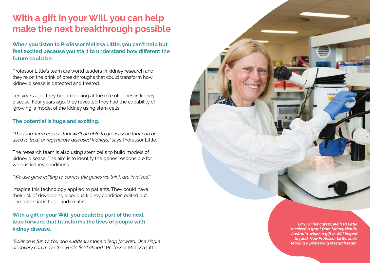## **With a gift in your Will, you can help make the next breakthrough possible**

**When you listen to Professor Melissa Little, you can't help but feel excited because you start to understand how different the future could be.** 

Professor Little's team are world leaders in kidney research and they're on the brink of breakthroughs that could transform how kidney disease is detected and treated.

Ten years ago, they began looking at the role of genes in kidney disease. Four years ago, they revealed they had the capability of 'growing' a model of the kidney using stem cells.

#### **The potential is huge and exciting.**

*"The long-term hope is that we'll be able to grow tissue that can be used to treat or regenerate diseased kidneys,"* says Professor Little.

The research team is also using stem cells to build models of kidney disease. The aim is to identify the genes responsible for various kidney conditions.

*"We use gene editing to correct the genes we think are involved."*

Imagine this technology applied to patients. They could have their risk of developing a serious kidney condition edited out. The potential is huge and exciting.

#### **With a gift in your Will, you could be part of the next leap forward that transforms the lives of people with kidney disease.**

*"Science is funny. You can suddenly make a leap forward. One single discovery can move the whole field ahead."* Professor Melissa Little.

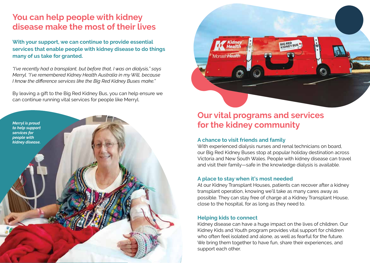### **You can help people with kidney disease make the most of their lives**

**With your support, we can continue to provide essential services that enable people with kidney disease to do things many of us take for granted.**

*"I've recently had a transplant, but before that, I was on dialysis," says Merryl. "I've remembered Kidney Health Australia in my Will, because I know the difference services like the Big Red Kidney Buses make."*

By leaving a gift to the Big Red Kidney Bus, you can help ensure we can continue running vital services for people like Merryl.





### **Our vital programs and services for the kidney community**

#### **A chance to visit friends and family**

With experienced dialysis nurses and renal technicians on board, our Big Red Kidney Buses stop at popular holiday destination across Victoria and New South Wales. People with kidney disease can travel and visit their family—safe in the knowledge dialysis is available.

#### **A place to stay when it's most needed**

At our Kidney Transplant Houses, patients can recover after a kidney transplant operation, knowing we'll take as many cares away as possible. They can stay free of charge at a Kidney Transplant House, close to the hospital, for as long as they need to.

#### **Helping kids to connect**

Kidney disease can have a huge impact on the lives of children. Our Kidney Kids and Youth program provides vital support for children who often feel isolated and alone, as well as fearful for the future. We bring them together to have fun, share their experiences, and support each other.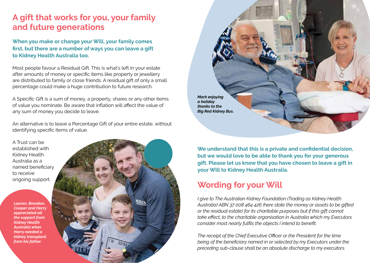### **A gift that works for you, your family and future generations**

**When you make or change your Will, your family comes first, but there are a number of ways you can leave a gift to Kidney Health Australia too.**

Most people favour a Residual Gift. This is what's left in your estate after amounts of money or specific items like property or jewellery are distributed to family or close friends. A residual gift of only a small percentage could make a huge contribution to future research.

A Specific Gift is a sum of money, a property, shares or any other items of value you nominate. Be aware that inflation will affect the value of any sum of money you decide to leave.

An alternative is to leave a Percentage Gift of your entire estate, without identifying specific items of value.

A Trust can be established with Kidney Health Australia as a named beneficiary to receive ongoing support.

*Lauren, Brendan, Cooper and Harry appreciated all the support from Kidney Health Australia when Harry needed a kidney transplant from his father.*





**We understand that this is a private and confidential decision, but we would love to be able to thank you for your generous gift. Please let us know that you have chosen to leave a gift in your Will to Kidney Health Australia.** 

### **Wording for your Will**

*I give to The Australian Kidney Foundation (Trading as Kidney Health Australia) ABN 37 008 464 426 (here state the money or assets to be gifted or the residual estate) for its charitable purposes but if this gift cannot take effect, to the charitable organisation in Australia which my Executors consider most nearly fulfils the objects I intend to benefit.*

*The receipt of the Chief Executive Officer or the President for the time being of the beneficiary named in or selected by my Executors under the preceding sub-clause shall be an absolute discharge to my executors.*